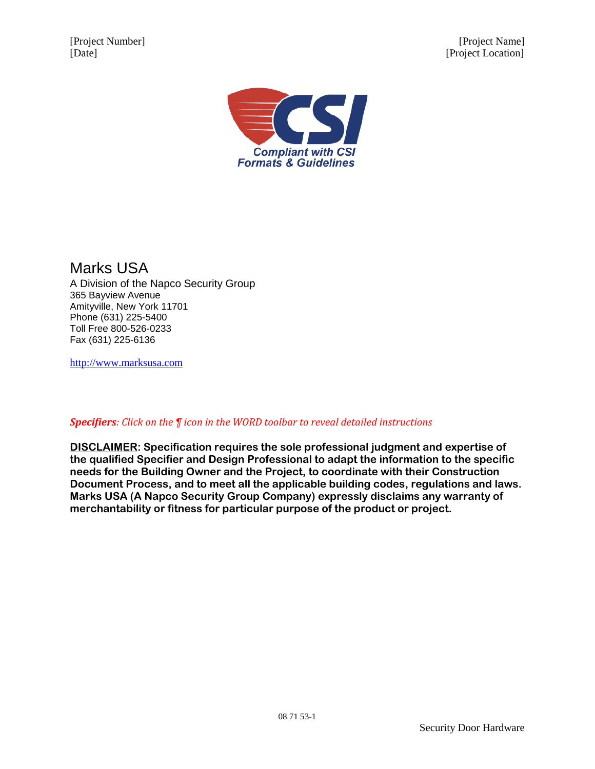[Project Number] [Project Name] [Date] [Project Location]



Marks USA A Division of the Napco Security Group 365 Bayview Avenue Amityville, New York 11701 Phone (631) 225-5400 Toll Free 800-526-0233 Fax (631) 225-6136

[http://www.marksusa.com](http://www.marksusa.com/)

*Specifiers: Click on the ¶ icon in the WORD toolbar to reveal detailed instructions*

**DISCLAIMER: Specification requires the sole professional judgment and expertise of the qualified Specifier and Design Professional to adapt the information to the specific needs for the Building Owner and the Project, to coordinate with their Construction Document Process, and to meet all the applicable building codes, regulations and laws. Marks USA (A Napco Security Group Company) expressly disclaims any warranty of merchantability or fitness for particular purpose of the product or project.**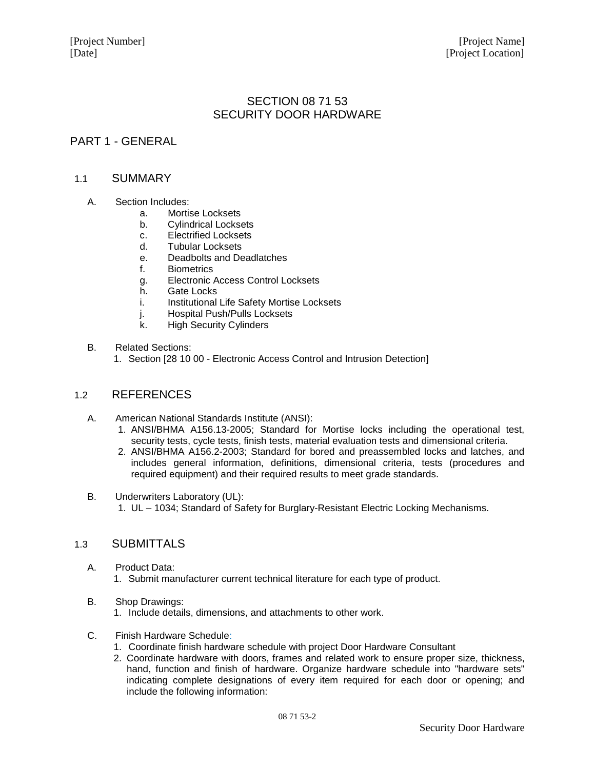# SECTION 08 71 53 SECURITY DOOR HARDWARE

## PART 1 - GENERAL

### 1.1 SUMMARY

- A. Section Includes:
	- a. Mortise Locksets
	- b. Cylindrical Locksets
	- c. Electrified Locksets<br>d. Tubular Locksets
	- **Tubular Locksets**
	- e. Deadbolts and Deadlatches
	- f. Biometrics
	- g. Electronic Access Control Locksets
	- h. Gate Locks
	- i. Institutional Life Safety Mortise Locksets
	- j. Hospital Push/Pulls Locksets
	- k. High Security Cylinders
- B. Related Sections:
	- 1. Section [28 10 00 Electronic Access Control and Intrusion Detection]

## 1.2 REFERENCES

- A. American National Standards Institute (ANSI):
	- 1. ANSI/BHMA A156.13-2005; Standard for Mortise locks including the operational test, security tests, cycle tests, finish tests, material evaluation tests and dimensional criteria.
	- 2. ANSI/BHMA A156.2-2003; Standard for bored and preassembled locks and latches, and includes general information, definitions, dimensional criteria, tests (procedures and required equipment) and their required results to meet grade standards.
- B. Underwriters Laboratory (UL): 1. UL – 1034; Standard of Safety for Burglary-Resistant Electric Locking Mechanisms.

### 1.3 SUBMITTALS

- A. Product Data: 1. Submit manufacturer current technical literature for each type of product.
- B. Shop Drawings:
	- 1. Include details, dimensions, and attachments to other work.
- C. Finish Hardware Schedule:
	- 1. Coordinate finish hardware schedule with project Door Hardware Consultant
	- 2. Coordinate hardware with doors, frames and related work to ensure proper size, thickness, hand, function and finish of hardware. Organize hardware schedule into "hardware sets" indicating complete designations of every item required for each door or opening; and include the following information: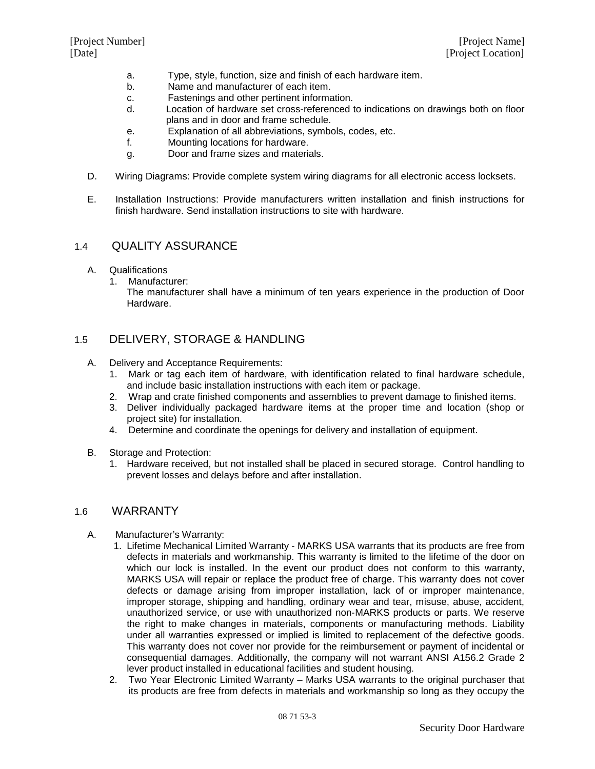- a. Type, style, function, size and finish of each hardware item.
- b. Name and manufacturer of each item.
- c. Fastenings and other pertinent information.
- d. Location of hardware set cross-referenced to indications on drawings both on floor plans and in door and frame schedule.
- e. Explanation of all abbreviations, symbols, codes, etc.
- f. Mounting locations for hardware.
- g. Door and frame sizes and materials.
- D. Wiring Diagrams: Provide complete system wiring diagrams for all electronic access locksets.
- E. Installation Instructions: Provide manufacturers written installation and finish instructions for finish hardware. Send installation instructions to site with hardware.

## 1.4 QUALITY ASSURANCE

- A. Qualifications
	- 1. Manufacturer:

The manufacturer shall have a minimum of ten years experience in the production of Door Hardware.

## 1.5 DELIVERY, STORAGE & HANDLING

- A. Delivery and Acceptance Requirements:
	- 1. Mark or tag each item of hardware, with identification related to final hardware schedule, and include basic installation instructions with each item or package.
	- 2. Wrap and crate finished components and assemblies to prevent damage to finished items.
	- 3. Deliver individually packaged hardware items at the proper time and location (shop or project site) for installation.
	- 4. Determine and coordinate the openings for delivery and installation of equipment.
- B. Storage and Protection:
	- 1. Hardware received, but not installed shall be placed in secured storage. Control handling to prevent losses and delays before and after installation.

### 1.6 WARRANTY

- A. Manufacturer's Warranty:
	- 1. Lifetime Mechanical Limited Warranty MARKS USA warrants that its products are free from defects in materials and workmanship. This warranty is limited to the lifetime of the door on which our lock is installed. In the event our product does not conform to this warranty, MARKS USA will repair or replace the product free of charge. This warranty does not cover defects or damage arising from improper installation, lack of or improper maintenance, improper storage, shipping and handling, ordinary wear and tear, misuse, abuse, accident, unauthorized service, or use with unauthorized non-MARKS products or parts. We reserve the right to make changes in materials, components or manufacturing methods. Liability under all warranties expressed or implied is limited to replacement of the defective goods. This warranty does not cover nor provide for the reimbursement or payment of incidental or consequential damages. Additionally, the company will not warrant ANSI A156.2 Grade 2 lever product installed in educational facilities and student housing.
	- 2. Two Year Electronic Limited Warranty Marks USA warrants to the original purchaser that its products are free from defects in materials and workmanship so long as they occupy the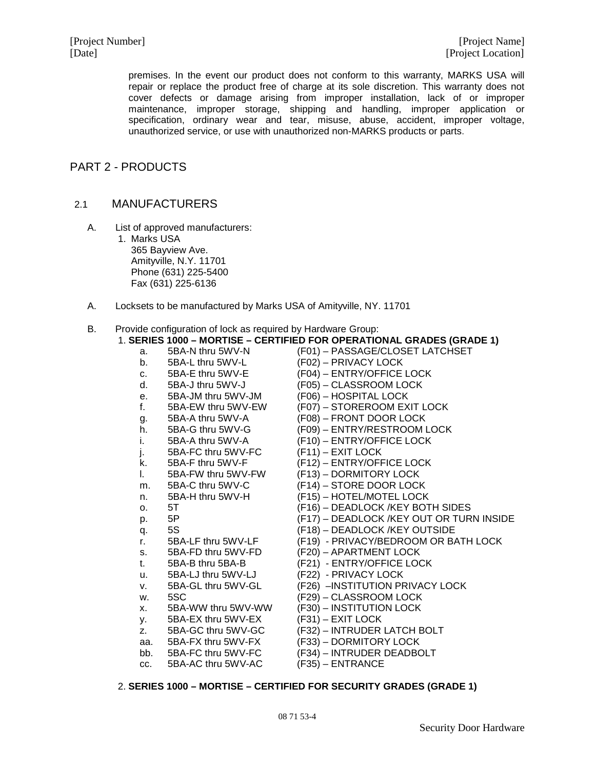premises. In the event our product does not conform to this warranty, MARKS USA will repair or replace the product free of charge at its sole discretion. This warranty does not cover defects or damage arising from improper installation, lack of or improper maintenance, improper storage, shipping and handling, improper application or specification, ordinary wear and tear, misuse, abuse, accident, improper voltage, unauthorized service, or use with unauthorized non-MARKS products or parts.

## PART 2 - PRODUCTS

## 2.1 MANUFACTURERS

- A. List of approved manufacturers:
	- 1. Marks USA 365 Bayview Ave. Amityville, N.Y. 11701 Phone (631) 225-5400 Fax (631) 225-6136
- A. Locksets to be manufactured by Marks USA of Amityville, NY. 11701

#### B. Provide configuration of lock as required by Hardware Group:

### 1. **SERIES 1000 – MORTISE – CERTIFIED FOR OPERATIONAL GRADES (GRADE 1)** a. 5BA-N thru 5WV-N (F01) – PASSAGE/CLOSET LATCHSET<br>b. 5BA-L thru 5WV-L (F02) – PRIVACY LOCK 5BA-L thru 5WV-L (F02) – PRIVACY LOCK<br>5BA-E thru 5WV-E (F04) – ENTRY/OFFICE c. 5BA-E thru 5WV-E (F04) – ENTRY/OFFICE LOCK<br>d. 5BA-J thru 5WV-J (F05) – CLASSROOM LOCK 5BA-J thru 5WV-J (F05) – CLASSROOM LOCK<br>5BA-JM thru 5WV-JM (F06) – HOSPITAL LOCK e. 5BA-JM thru 5WV-JM (F06) – HOSPITAL LOCK f. 5BA-EW thru 5WV-EW (F07) – STOREROOM EXIT LOCK g. 5BA-A thru 5WV-A (F08) – FRONT DOOR LOCK<br>h. 5BA-G thru 5WV-G (F09) – ENTRY/RESTROOM L h. 5BA-G thru 5WV-G (F09) – ENTRY/RESTROOM LOCK i. 5BA-A thru 5WV-A (F10) – ENTRY/OFFICE LOCK<br>i. 5BA-FC thru 5WV-FC (F11) – EXIT LOCK j. 5BA-FC thru 5WV-FC k. 5BA-F thru 5WV-F (F12) – ENTRY/OFFICE LOCK l. 5BA-FW thru 5WV-FW (F13) – DORMITORY LOCK m. 5BA-C thru 5WV-C (F14) – STORE DOOR LOCK<br>n. 5BA-H thru 5WV-H (F15) – HOTEL/MOTEL LOCK n. 5BA-H thru 5WV-H (F15) – HOTEL/MOTEL LOCK o. 5T (F16) – DEADLOCK /KEY BOTH SIDES p. 5P (F17) – DEADLOCK /KEY OUT OR TURN INSIDE q. 5S (F18) – DEADLOCK /KEY OUTSIDE r. 5BA-LF thru 5WV-LF (F19) - PRIVACY/BEDROOM OR BATH LOCK s. 5BA-FD thru 5WV-FD (F20) – APARTMENT LOCK<br>t. 5BA-B thru 5BA-B (F21) - ENTRY/OFFICE LOC t. 5BA-B thru 5BA-B (F21) - ENTRY/OFFICE LOCK u. 5BA-LJ thru 5WV-LJ (F22) - PRIVACY LOCK<br>v. 5BA-GL thru 5WV-GL (F26) – INSTITUTION PR v. 5BA-GL thru 5WV-GL (F26) –INSTITUTION PRIVACY LOCK w. 5SC (F29) – CLASSROOM LOCK x. 5BA-WW thru 5WV-WW  $(F30)$  – INSTITUTION LOCK<br>y. 5BA-EX thru 5WV-EX  $(F31)$  – EXIT LOCK y. 5BA-EX thru 5WV-EX<br>z. 5BA-GC thru 5WV-GC z. 5BA-GC thru 5WV-GC (F32) – INTRUDER LATCH BOLT aa. 5BA-FX thru 5WV-FX (F33) – DORMITORY LOCK<br>bb. 5BA-FC thru 5WV-FC (F34) – INTRUDER DEADBC bb. 5BA-FC thru 5WV-FC (F34) – INTRUDER DEADBOLT cc. 5BA-AC thru 5WV-AC (F35) – ENTRANCE

#### 2. **SERIES 1000 – MORTISE – CERTIFIED FOR SECURITY GRADES (GRADE 1)**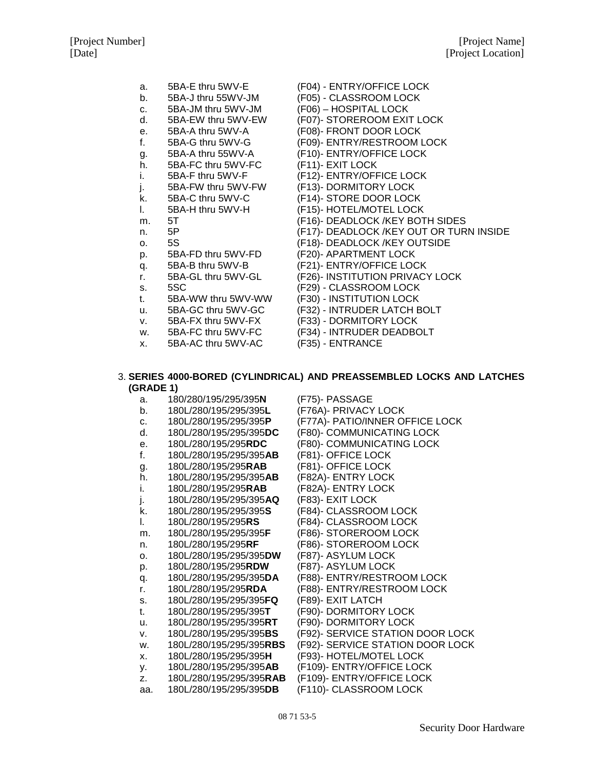- a. 5BA-E thru 5WV-E (F04) ENTRY/OFFICE LOCK
- b. 5BA-J thru 55WV-JM (F05) CLASSROOM LOCK
- c. 5BA-JM thru 5WV-JM (F06) HOSPITAL LOCK
- 
- 
- 
- 
- h. 5BA-FC thru 5WV-FC (F11)- EXIT LOCK<br>i. 5BA-F thru 5WV-F (F12)- ENTRY/OFF
- 
- 
- 
- 
- 
- 
- 
- 
- 
- 
- 
- s. 5SC (F29) CLASSROOM LOCK t. 5BA-WW thru 5WV-WW (F30) - INSTITUTION LOCK
- 
- v. 5BA-FX thru 5WV-FX (F33) DORMITORY LOCK
- 
- x. 5BA-AC thru 5WV-AC (F35) ENTRANCE
- 
- 
- 
- d. 5BA-EW thru 5WV-EW (F07)- STOREROOM EXIT LOCK
- e. 5BA-A thru 5WV-A (F08)- FRONT DOOR LOCK
- f. 5BA-G thru 5WV-G (F09)- ENTRY/RESTROOM LOCK
- g. 5BA-A thru 55WV-A (F10)- ENTRY/OFFICE LOCK
	-
	- (F12)- ENTRY/OFFICE LOCK
- j. 5BA-FW thru 5WV-FW (F13)- DORMITORY LOCK
- k. 5BA-C thru 5WV-C (F14)- STORE DOOR LOCK<br>I. 5BA-H thru 5WV-H (F15)- HOTEL/MOTEL LOCK
- l. 5BA-H thru 5WV-H (F15)- HOTEL/MOTEL LOCK
- m. 5T (F16)- DEADLOCK /KEY BOTH SIDES
- n. 5P (F17)- DEADLOCK /KEY OUT OR TURN INSIDE
- o. 5S (F18)- DEADLOCK /KEY OUTSIDE
- p. 5BA-FD thru 5WV-FD (F20)- APARTMENT LOCK
- q. 5BA-B thru 5WV-B (F21)- ENTRY/OFFICE LOCK
- r. 5BA-GL thru 5WV-GL (F26)- INSTITUTION PRIVACY LOCK
	-
	-
- u. 5BA-GC thru 5WV-GC (F32) INTRUDER LATCH BOLT
	-
- w. 5BA-FC thru 5WV-FC (F34) INTRUDER DEADBOLT
	-
	-

#### 3. **SERIES 4000-BORED (CYLINDRICAL) AND PREASSEMBLED LOCKS AND LATCHES (GRADE 1)**

- a. 180/280/195/295/395**N** (F75)- PASSAGE b. 180L/280/195/295/395**L** (F76A)- PRIVACY LOCK c. 180L/280/195/295/395**P** (F77A)- PATIO/INNER OFFICE LOCK d. 180L/280/195/295/395**DC** (F80)- COMMUNICATING LOCK
- e. 180L/280/195/295**RDC** (F80)- COMMUNICATING LOCK
- f. 180L/280/195/295/395**AB** (F81)- OFFICE LOCK
- g. 180L/280/195/295**RAB** (F81)- OFFICE LOCK
- h. 180L/280/195/295/395**AB** (F82A)- ENTRY LOCK
- i. 180L/280/195/295**RAB** (F82A)- ENTRY LOCK
- j. 180L/280/195/295/395**AQ** (F83)- EXIT LOCK
- k. 180L/280/195/295/395**S** (F84)- CLASSROOM LOCK
- 
- l. 180L/280/195/295**RS** (F84)- CLASSROOM LOCK
- m. 180L/280/195/295/395**F** (F86)- STOREROOM LOCK n. 180L/280/195/295**RF** (F86)- STOREROOM LOCK
- 
- o. 180L/280/195/295/395**DW** (F87)- ASYLUM LOCK
- p. 180L/280/195/295**RDW** (F87)- ASYLUM LOCK q. 180L/280/195/295/395**DA** (F88)- ENTRY/RESTROOM LOCK
- r. 180L/280/195/295**RDA** (F88)- ENTRY/RESTROOM LOCK
- 
- s. 180L/280/195/295/395**FQ** (F89)- EXIT LATCH t. 180L/280/195/295/395**T** (F90)- DORMITORY LOCK
- u. 180L/280/195/295/395**RT** (F90)- DORMITORY LOCK
- v. 180L/280/195/295/395**BS** (F92)- SERVICE STATION DOOR LOCK
- w. 180L/280/195/295/395**RBS** (F92)- SERVICE STATION DOOR LOCK
- 
- x. 180L/280/195/295/395**H** (F93)- HOTEL/MOTEL LOCK
- y. 180L/280/195/295/395**AB** (F109)- ENTRY/OFFICE LOCK
- z. 180L/280/195/295/395**RAB** (F109)- ENTRY/OFFICE LOCK
- aa. 180L/280/195/295/395**DB** (F110)- CLASSROOM LOCK

08 71 53-5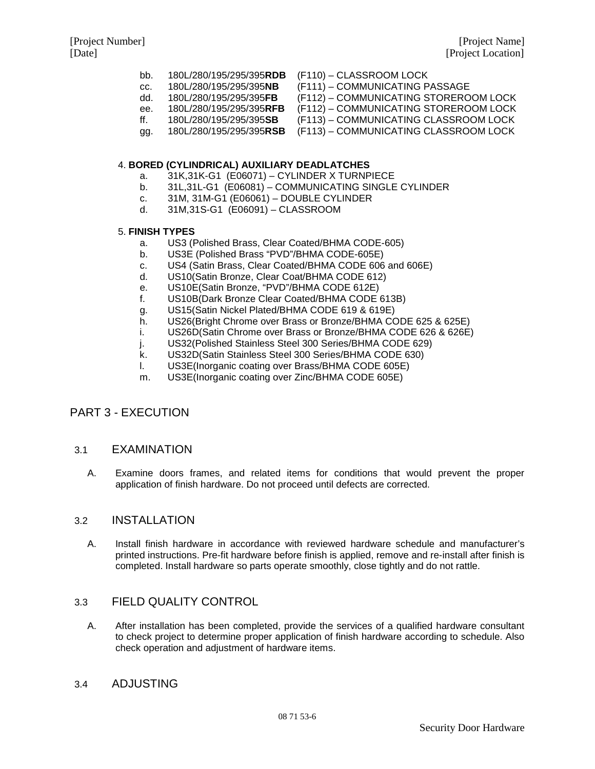- bb. 180L/280/195/295/395**RDB** (F110) CLASSROOM LOCK
- cc. 180L/280/195/295/395**NB** (F111) COMMUNICATING PASSAGE
- -
- 
- 180L/280/195/295/395**FB** (F112) COMMUNICATING STOREROOM LOCK<br>180L/280/195/295/395**RFB** (F112) COMMUNICATING STOREROOM LOCK
- ee. 180L/280/195/295/395**RFB** (F112) COMMUNICATING STOREROOM LOCK
- ff. 180L/280/195/295/395**SB** (F113) COMMUNICATING CLASSROOM LOCK
- gg. 180L/280/195/295/395**RSB** (F113) COMMUNICATING CLASSROOM LOCK

### 4. **BORED (CYLINDRICAL) AUXILIARY DEADLATCHES**

- a. 31K,31K-G1 (E06071) CYLINDER X TURNPIECE
- b. 31L,31L-G1 (E06081) COMMUNICATING SINGLE CYLINDER
- c. 31M, 31M-G1 (E06061) DOUBLE CYLINDER
- d. 31M,31S-G1 (E06091) CLASSROOM

### 5. **FINISH TYPES**

- a. US3 (Polished Brass, Clear Coated/BHMA CODE-605)
- b. US3E (Polished Brass "PVD"/BHMA CODE-605E)
- c. US4 (Satin Brass, Clear Coated/BHMA CODE 606 and 606E)
- d. US10(Satin Bronze, Clear Coat/BHMA CODE 612)
- e. US10E(Satin Bronze, "PVD"/BHMA CODE 612E)<br>f. US10B(Dark Bronze Clear Coated/BHMA CODE (
- US10B(Dark Bronze Clear Coated/BHMA CODE 613B)
- g. US15(Satin Nickel Plated/BHMA CODE 619 & 619E)
- h. US26(Bright Chrome over Brass or Bronze/BHMA CODE 625 & 625E)
- i. US26D(Satin Chrome over Brass or Bronze/BHMA CODE 626 & 626E)
- j. US32(Polished Stainless Steel 300 Series/BHMA CODE 629)
- k. US32D(Satin Stainless Steel 300 Series/BHMA CODE 630)
- l. US3E(Inorganic coating over Brass/BHMA CODE 605E)
- m. US3E(Inorganic coating over Zinc/BHMA CODE 605E)

## PART 3 - EXECUTION

## 3.1 EXAMINATION

A. Examine doors frames, and related items for conditions that would prevent the proper application of finish hardware. Do not proceed until defects are corrected.

## 3.2 INSTALLATION

A. Install finish hardware in accordance with reviewed hardware schedule and manufacturer's printed instructions. Pre-fit hardware before finish is applied, remove and re-install after finish is completed. Install hardware so parts operate smoothly, close tightly and do not rattle.

## 3.3 FIELD QUALITY CONTROL

A. After installation has been completed, provide the services of a qualified hardware consultant to check project to determine proper application of finish hardware according to schedule. Also check operation and adjustment of hardware items.

## 3.4 ADJUSTING